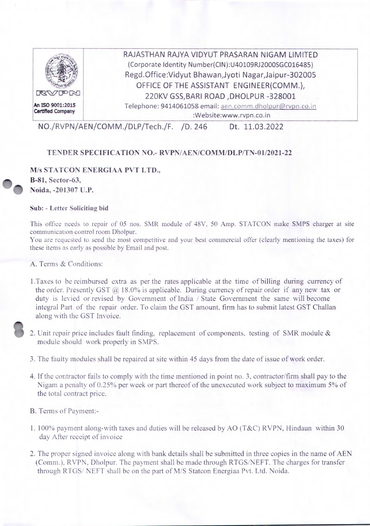

NO./RVPN/AEN/COMM ./DLP/Tech./F. *ID.* 246 Dt. 11.03.2022

## **TENDER SPECIFICATION NO.- RVPN/AEN/COMM/DLP/TN**-0 1/2021-22

## **M/s STATCON ENERGIAA PVT LTD.,**

**B-81, Sector-63, w**. Noida, -201307 **U.P.** 

## **Sub:** - **Letter Soliciting bid**

This office needs to repair of *05* nos. SMR module of 48V, 50 Amp. STATCON make SMPS charger at site communication control room Dholpur.

You are requested to send the most competitive and your best commercial offer (clearly mentioning the taxes) for these items as early as possible by Email and post.

A. Terms & Conditions:

- 1 .Taxes to be reimbursed extra as per the rates applicable at the time of billing during currency of the order. Presently GST  $\omega$  18.0% is applicable. During currency of repair order if any new tax or duty is levied or revised by Government of India / State Government the same will become integral Part of the repair order. To claim the GST amount, firm has to submit latest GST Challan along with the GST Invoice.
- 2. Unit repair price includes fault finding, replacement of components, testing of SMR module  $\&$ module should work properly in SMPS.
- 3. The faulty modules shall be repaired at site within *45* days from the date of issue of work order.
- 4. If the contractor fails to comply with the time mentioned in point no. 3, contractor/firm shall pay to the Nigam a penalty of *0.25%* per week or part thereof of the unexecuted work subject to maximum *5%* of the total contract price.

B. Terms of Payment:-

- 1. 100% payment along-with taxes and duties will be released by AO (T&C) RVPN, Hindaun within 30 day After receipt of invoice
- 2. The proper signed invoice along with bank details shall be submitted in three copies in the name of AEN (Comm.), RVPN, Dholpur. The payment shall be made through RTGS/NEFT. The charges for transfer through RTGS/ NEFT shall be on the part of M/S Statcon Energiaa Pvt. Ltd. Noida.